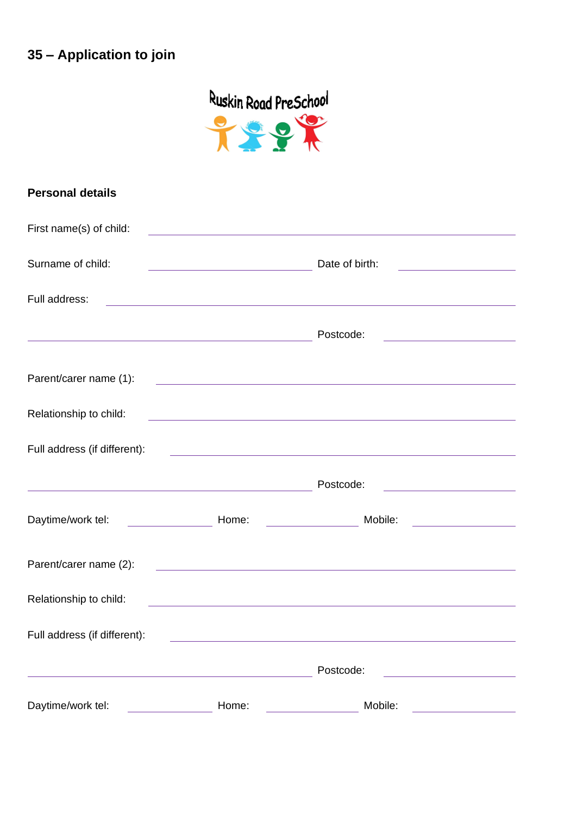## **35 – Application to join**



| <b>Personal details</b>      |                                                                                                                       |                                                                                                                       |                                                       |
|------------------------------|-----------------------------------------------------------------------------------------------------------------------|-----------------------------------------------------------------------------------------------------------------------|-------------------------------------------------------|
| First name(s) of child:      | <u> 1989 - Johann Barn, mars ann an t-Amhain Aonaichte ann an t-Aonaichte ann an t-Aonaichte ann an t-Aonaichte a</u> |                                                                                                                       |                                                       |
| Surname of child:            | <u> 1989 - Johann Barn, mars eta inperiodo</u>                                                                        | Date of birth:                                                                                                        | <u> 1989 - Johann Barn, mars ann an t-</u>            |
| Full address:                |                                                                                                                       | <u> 1989 - Johann Stoff, amerikansk politiker (d. 1989)</u>                                                           |                                                       |
|                              | <u> 1989 - Johann Stein, mars an deus Amerikaansk kommunister (</u>                                                   | Postcode:                                                                                                             | <u> 1980 - Johann Barn, mars ann an t-</u>            |
| Parent/carer name (1):       |                                                                                                                       | <u> 1989 - Johann Harry Harry Harry Harry Harry Harry Harry Harry Harry Harry Harry Harry Harry Harry Harry Harry</u> |                                                       |
| Relationship to child:       |                                                                                                                       | <u> 1980 - Johann Barn, amerikan bestemannten bestemannten bestemannten bestemannten bestemannten bestemannten b</u>  |                                                       |
| Full address (if different): |                                                                                                                       | <u> 1989 - Johann Harry Harry Harry Harry Harry Harry Harry Harry Harry Harry Harry Harry Harry Harry Harry Harry</u> |                                                       |
|                              | <u> 1989 - Johann Stein, marwolaethau a bhann an t-Amhain an t-Amhain an t-Amhain an t-Amhain an t-Amhain an t-A</u>  | Postcode:                                                                                                             | <u> 1989 - Johann Barn, mars ann an t-Amhain</u>      |
| Daytime/work tel:            | <b>Home:</b> Home:                                                                                                    | Mobile:                                                                                                               | <u> 1989 - Andrea Station, amerikansk politiker (</u> |
| Parent/carer name (2):       |                                                                                                                       | <u> 1989 - Johann Harry Harry Harry Harry Harry Harry Harry Harry Harry Harry Harry Harry Harry Harry Harry Harry</u> |                                                       |
| Relationship to child:       |                                                                                                                       | <u> 1989 - Johann Harry Harry Harry Harry Harry Harry Harry Harry Harry Harry Harry Harry Harry Harry Harry Harry</u> |                                                       |
| Full address (if different): |                                                                                                                       |                                                                                                                       |                                                       |
|                              |                                                                                                                       | Postcode:                                                                                                             |                                                       |
| Daytime/work tel:            | Home:                                                                                                                 | Mobile:                                                                                                               |                                                       |